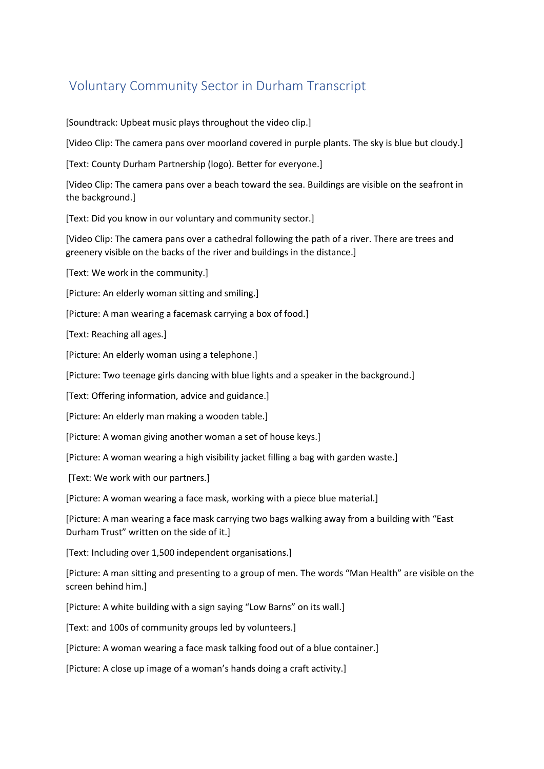## Voluntary Community Sector in Durham Transcript

[Soundtrack: Upbeat music plays throughout the video clip.]

[Video Clip: The camera pans over moorland covered in purple plants. The sky is blue but cloudy.]

[Text: County Durham Partnership (logo). Better for everyone.]

[Video Clip: The camera pans over a beach toward the sea. Buildings are visible on the seafront in the background.]

[Text: Did you know in our voluntary and community sector.]

[Video Clip: The camera pans over a cathedral following the path of a river. There are trees and greenery visible on the backs of the river and buildings in the distance.]

[Text: We work in the community.]

[Picture: An elderly woman sitting and smiling.]

[Picture: A man wearing a facemask carrying a box of food.]

[Text: Reaching all ages.]

[Picture: An elderly woman using a telephone.]

[Picture: Two teenage girls dancing with blue lights and a speaker in the background.]

[Text: Offering information, advice and guidance.]

[Picture: An elderly man making a wooden table.]

[Picture: A woman giving another woman a set of house keys.]

[Picture: A woman wearing a high visibility jacket filling a bag with garden waste.]

[Text: We work with our partners.]

[Picture: A woman wearing a face mask, working with a piece blue material.]

[Picture: A man wearing a face mask carrying two bags walking away from a building with "East Durham Trust" written on the side of it.]

[Text: Including over 1,500 independent organisations.]

[Picture: A man sitting and presenting to a group of men. The words "Man Health" are visible on the screen behind him.]

[Picture: A white building with a sign saying "Low Barns" on its wall.]

[Text: and 100s of community groups led by volunteers.]

[Picture: A woman wearing a face mask talking food out of a blue container.]

[Picture: A close up image of a woman's hands doing a craft activity.]